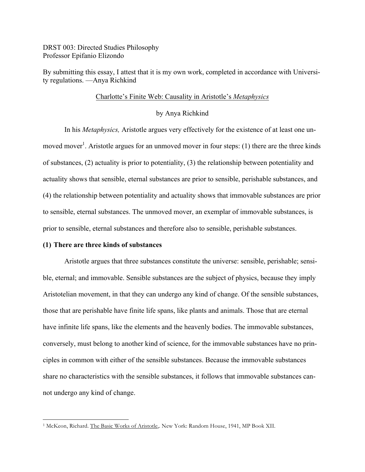DRST 003: Directed Studies Philosophy Professor Epifanio Elizondo

By submitting this essay, I attest that it is my own work, completed in accordance with University regulations. —Anya Richkind

### Charlotte's Finite Web: Causality in Aristotle's *Metaphysics*

## by Anya Richkind

In his *Metaphysics,* Aristotle argues very effectively for the existence of at least one unmoved mover<sup>1</sup>. Aristotle argues for an unmoved mover in four steps: (1) there are the three kinds of substances, (2) actuality is prior to potentiality, (3) the relationship between potentiality and actuality shows that sensible, eternal substances are prior to sensible, perishable substances, and (4) the relationship between potentiality and actuality shows that immovable substances are prior to sensible, eternal substances. The unmoved mover, an exemplar of immovable substances, is prior to sensible, eternal substances and therefore also to sensible, perishable substances.

## **(1) There are three kinds of substances**

Aristotle argues that three substances constitute the universe: sensible, perishable; sensible, eternal; and immovable. Sensible substances are the subject of physics, because they imply Aristotelian movement, in that they can undergo any kind of change. Of the sensible substances, those that are perishable have finite life spans, like plants and animals. Those that are eternal have infinite life spans, like the elements and the heavenly bodies. The immovable substances, conversely, must belong to another kind of science, for the immovable substances have no principles in common with either of the sensible substances. Because the immovable substances share no characteristics with the sensible substances, it follows that immovable substances cannot undergo any kind of change.

<sup>&</sup>lt;sup>1</sup> McKeon, Richard. The Basic Works of Aristotle,. New York: Random House, 1941, MP Book XII.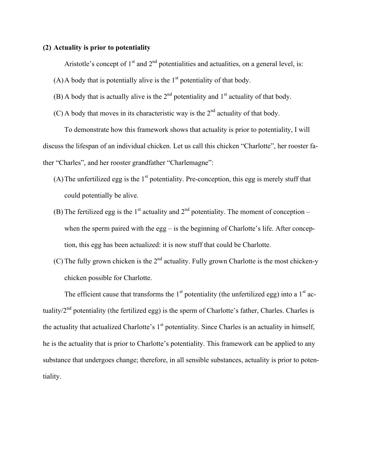# **(2) Actuality is prior to potentiality**

Aristotle's concept of  $1<sup>st</sup>$  and  $2<sup>nd</sup>$  potentialities and actualities, on a general level, is:

(A) A body that is potentially alive is the  $1<sup>st</sup>$  potentiality of that body.

- (B) A body that is actually alive is the  $2<sup>nd</sup>$  potentiality and  $1<sup>st</sup>$  actuality of that body.
- (C) A body that moves in its characteristic way is the  $2<sup>nd</sup>$  actuality of that body.

To demonstrate how this framework shows that actuality is prior to potentiality, I will discuss the lifespan of an individual chicken. Let us call this chicken "Charlotte", her rooster father "Charles", and her rooster grandfather "Charlemagne":

- (A) The unfertilized egg is the  $1<sup>st</sup>$  potentiality. Pre-conception, this egg is merely stuff that could potentially be alive.
- (B) The fertilized egg is the 1<sup>st</sup> actuality and  $2<sup>nd</sup>$  potentiality. The moment of conception when the sperm paired with the egg – is the beginning of Charlotte's life. After conception, this egg has been actualized: it is now stuff that could be Charlotte.
- (C) The fully grown chicken is the  $2<sup>nd</sup>$  actuality. Fully grown Charlotte is the most chicken-y chicken possible for Charlotte.

The efficient cause that transforms the  $1<sup>st</sup>$  potentiality (the unfertilized egg) into a  $1<sup>st</sup>$  actuality/2<sup>nd</sup> potentiality (the fertilized egg) is the sperm of Charlotte's father, Charles. Charles is the actuality that actualized Charlotte's  $1<sup>st</sup>$  potentiality. Since Charles is an actuality in himself, he is the actuality that is prior to Charlotte's potentiality. This framework can be applied to any substance that undergoes change; therefore, in all sensible substances, actuality is prior to potentiality.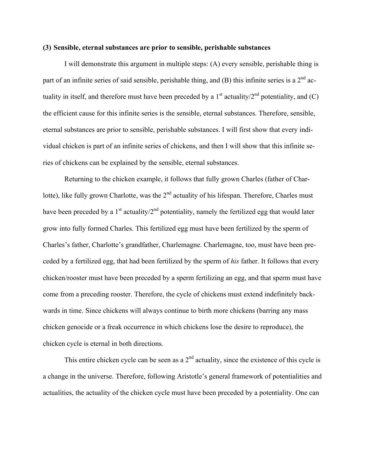### **(3) Sensible, eternal substances are prior to sensible, perishable substances**

I will demonstrate this argument in multiple steps: (A) every sensible, perishable thing is part of an infinite series of said sensible, perishable thing, and (B) this infinite series is a  $2<sup>nd</sup>$  actuality in itself, and therefore must have been preceded by a  $1<sup>st</sup>$  actuality/ $2<sup>nd</sup>$  potentiality, and (C) the efficient cause for this infinite series is the sensible, eternal substances. Therefore, sensible, eternal substances are prior to sensible, perishable substances. I will first show that every individual chicken is part of an infinite series of chickens, and then I will show that this infinite series of chickens can be explained by the sensible, eternal substances.

Returning to the chicken example, it follows that fully grown Charles (father of Charlotte), like fully grown Charlotte, was the  $2<sup>nd</sup>$  actuality of his lifespan. Therefore, Charles must have been preceded by a  $1<sup>st</sup>$  actuality/ $2<sup>nd</sup>$  potentiality, namely the fertilized egg that would later grow into fully formed Charles. This fertilized egg must have been fertilized by the sperm of Charles's father, Charlotte's grandfather, Charlemagne. Charlemagne, too, must have been preceded by a fertilized egg, that had been fertilized by the sperm of *his* father. It follows that every chicken/rooster must have been preceded by a sperm fertilizing an egg, and that sperm must have come from a preceding rooster. Therefore, the cycle of chickens must extend indefinitely backwards in time. Since chickens will always continue to birth more chickens (barring any mass chicken genocide or a freak occurrence in which chickens lose the desire to reproduce), the chicken cycle is eternal in both directions.

This entire chicken cycle can be seen as a  $2<sup>nd</sup>$  actuality, since the existence of this cycle is a change in the universe. Therefore, following Aristotle's general framework of potentialities and actualities, the actuality of the chicken cycle must have been preceded by a potentiality. One can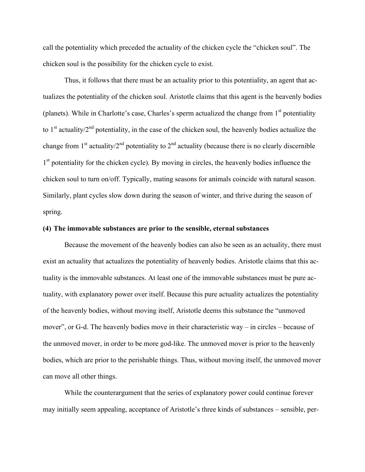call the potentiality which preceded the actuality of the chicken cycle the "chicken soul". The chicken soul is the possibility for the chicken cycle to exist.

Thus, it follows that there must be an actuality prior to this potentiality, an agent that actualizes the potentiality of the chicken soul. Aristotle claims that this agent is the heavenly bodies (planets). While in Charlotte's case, Charles's sperm actualized the change from  $1<sup>st</sup>$  potentiality to 1<sup>st</sup> actuality/ $2<sup>nd</sup>$  potentiality, in the case of the chicken soul, the heavenly bodies actualize the change from  $1<sup>st</sup>$  actuality/ $2<sup>nd</sup>$  potentiality to  $2<sup>nd</sup>$  actuality (because there is no clearly discernible 1<sup>st</sup> potentiality for the chicken cycle). By moving in circles, the heavenly bodies influence the chicken soul to turn on/off. Typically, mating seasons for animals coincide with natural season. Similarly, plant cycles slow down during the season of winter, and thrive during the season of spring.

## **(4) The immovable substances are prior to the sensible, eternal substances**

Because the movement of the heavenly bodies can also be seen as an actuality, there must exist an actuality that actualizes the potentiality of heavenly bodies. Aristotle claims that this actuality is the immovable substances. At least one of the immovable substances must be pure actuality, with explanatory power over itself. Because this pure actuality actualizes the potentiality of the heavenly bodies, without moving itself, Aristotle deems this substance the "unmoved mover", or G-d. The heavenly bodies move in their characteristic way – in circles – because of the unmoved mover, in order to be more god-like. The unmoved mover is prior to the heavenly bodies, which are prior to the perishable things. Thus, without moving itself, the unmoved mover can move all other things.

While the counterargument that the series of explanatory power could continue forever may initially seem appealing, acceptance of Aristotle's three kinds of substances – sensible, per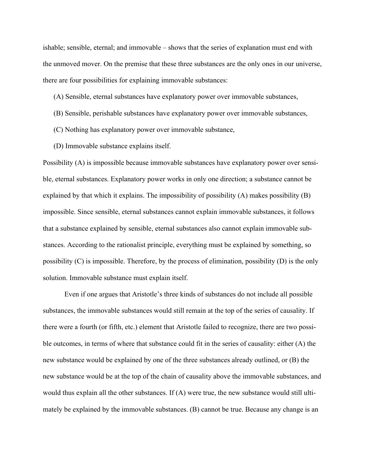ishable; sensible, eternal; and immovable – shows that the series of explanation must end with the unmoved mover. On the premise that these three substances are the only ones in our universe, there are four possibilities for explaining immovable substances:

## (A) Sensible, eternal substances have explanatory power over immovable substances,

- (B) Sensible, perishable substances have explanatory power over immovable substances,
- (C) Nothing has explanatory power over immovable substance,
- (D) Immovable substance explains itself.

Possibility (A) is impossible because immovable substances have explanatory power over sensible, eternal substances. Explanatory power works in only one direction; a substance cannot be explained by that which it explains. The impossibility of possibility (A) makes possibility (B) impossible. Since sensible, eternal substances cannot explain immovable substances, it follows that a substance explained by sensible, eternal substances also cannot explain immovable substances. According to the rationalist principle, everything must be explained by something, so possibility (C) is impossible. Therefore, by the process of elimination, possibility (D) is the only solution. Immovable substance must explain itself.

Even if one argues that Aristotle's three kinds of substances do not include all possible substances, the immovable substances would still remain at the top of the series of causality. If there were a fourth (or fifth, etc.) element that Aristotle failed to recognize, there are two possible outcomes, in terms of where that substance could fit in the series of causality: either (A) the new substance would be explained by one of the three substances already outlined, or (B) the new substance would be at the top of the chain of causality above the immovable substances, and would thus explain all the other substances. If (A) were true, the new substance would still ultimately be explained by the immovable substances. (B) cannot be true. Because any change is an